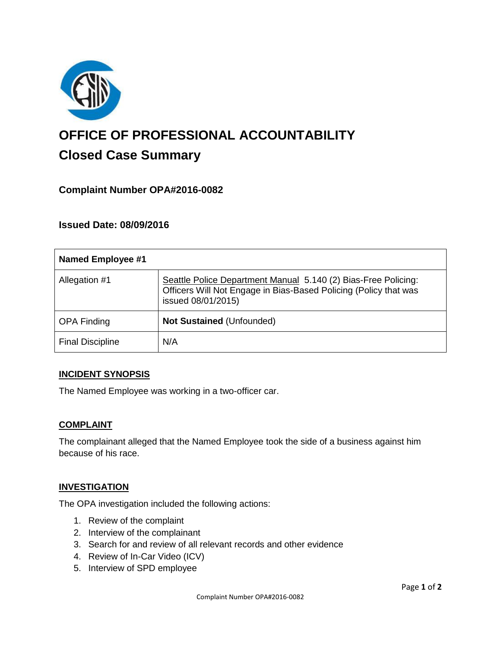

# **OFFICE OF PROFESSIONAL ACCOUNTABILITY Closed Case Summary**

# **Complaint Number OPA#2016-0082**

# **Issued Date: 08/09/2016**

| <b>Named Employee #1</b> |                                                                                                                                                          |
|--------------------------|----------------------------------------------------------------------------------------------------------------------------------------------------------|
| Allegation #1            | Seattle Police Department Manual 5.140 (2) Bias-Free Policing:<br>Officers Will Not Engage in Bias-Based Policing (Policy that was<br>issued 08/01/2015) |
| <b>OPA Finding</b>       | Not Sustained (Unfounded)                                                                                                                                |
| <b>Final Discipline</b>  | N/A                                                                                                                                                      |

## **INCIDENT SYNOPSIS**

The Named Employee was working in a two-officer car.

#### **COMPLAINT**

The complainant alleged that the Named Employee took the side of a business against him because of his race.

## **INVESTIGATION**

The OPA investigation included the following actions:

- 1. Review of the complaint
- 2. Interview of the complainant
- 3. Search for and review of all relevant records and other evidence
- 4. Review of In-Car Video (ICV)
- 5. Interview of SPD employee